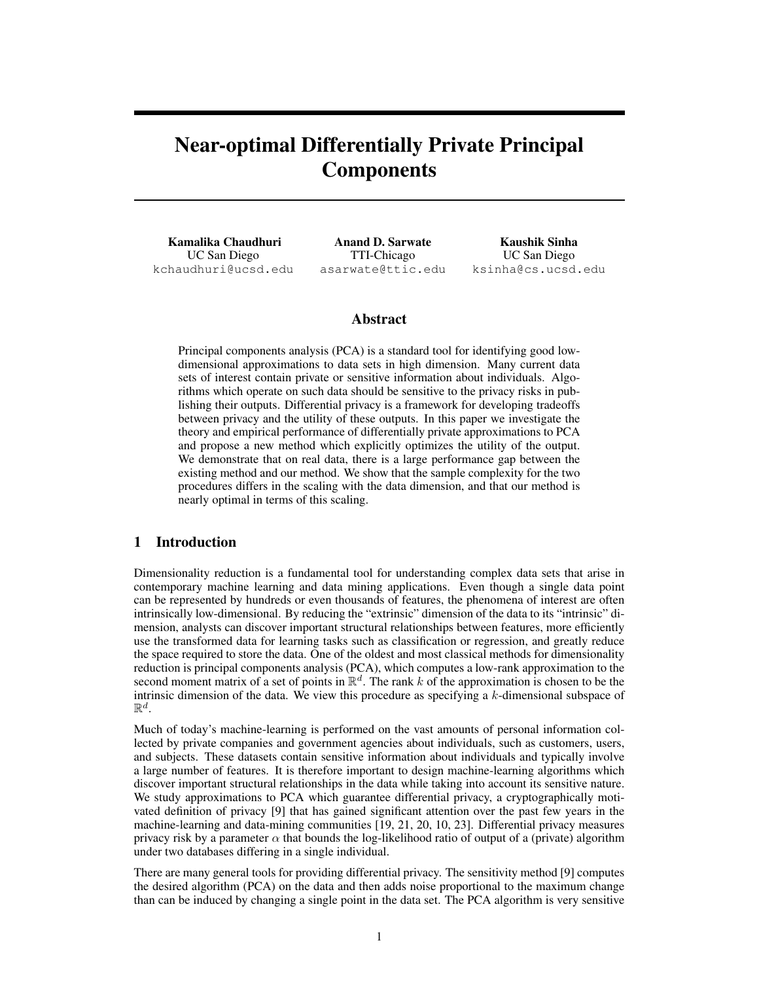# Near-optimal Differentially Private Principal **Components**

Kamalika Chaudhuri UC San Diego kchaudhuri@ucsd.edu

Anand D. Sarwate TTI-Chicago asarwate@ttic.edu

Kaushik Sinha UC San Diego ksinha@cs.ucsd.edu

# Abstract

Principal components analysis (PCA) is a standard tool for identifying good lowdimensional approximations to data sets in high dimension. Many current data sets of interest contain private or sensitive information about individuals. Algorithms which operate on such data should be sensitive to the privacy risks in publishing their outputs. Differential privacy is a framework for developing tradeoffs between privacy and the utility of these outputs. In this paper we investigate the theory and empirical performance of differentially private approximations to PCA and propose a new method which explicitly optimizes the utility of the output. We demonstrate that on real data, there is a large performance gap between the existing method and our method. We show that the sample complexity for the two procedures differs in the scaling with the data dimension, and that our method is nearly optimal in terms of this scaling.

#### 1 Introduction

Dimensionality reduction is a fundamental tool for understanding complex data sets that arise in contemporary machine learning and data mining applications. Even though a single data point can be represented by hundreds or even thousands of features, the phenomena of interest are often intrinsically low-dimensional. By reducing the "extrinsic" dimension of the data to its "intrinsic" dimension, analysts can discover important structural relationships between features, more efficiently use the transformed data for learning tasks such as classification or regression, and greatly reduce the space required to store the data. One of the oldest and most classical methods for dimensionality reduction is principal components analysis (PCA), which computes a low-rank approximation to the second moment matrix of a set of points in  $\mathbb{R}^d$ . The rank *k* of the approximation is chosen to be the intrinsic dimension of the data. We view this procedure as specifying a *k*-dimensional subspace of  $\mathbb{R}^d$ .

Much of today's machine-learning is performed on the vast amounts of personal information collected by private companies and government agencies about individuals, such as customers, users, and subjects. These datasets contain sensitive information about individuals and typically involve a large number of features. It is therefore important to design machine-learning algorithms which discover important structural relationships in the data while taking into account its sensitive nature. We study approximations to PCA which guarantee differential privacy, a cryptographically motivated definition of privacy [9] that has gained significant attention over the past few years in the machine-learning and data-mining communities [19, 21, 20, 10, 23]. Differential privacy measures privacy risk by a parameter  $\alpha$  that bounds the log-likelihood ratio of output of a (private) algorithm under two databases differing in a single individual.

There are many general tools for providing differential privacy. The sensitivity method [9] computes the desired algorithm (PCA) on the data and then adds noise proportional to the maximum change than can be induced by changing a single point in the data set. The PCA algorithm is very sensitive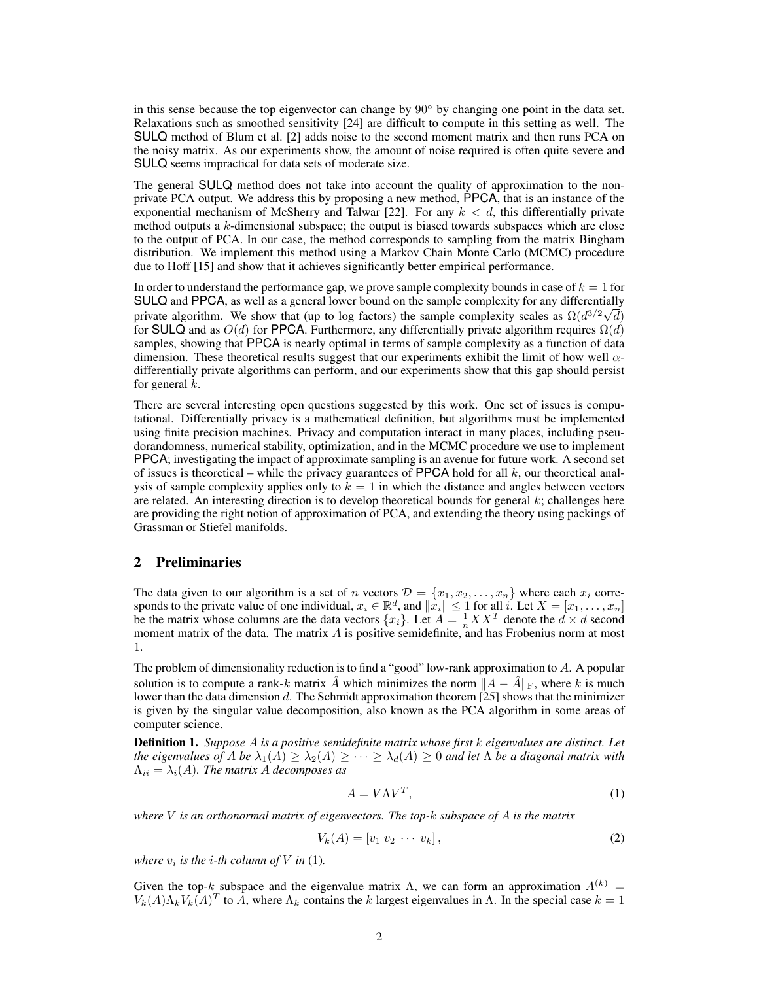in this sense because the top eigenvector can change by  $90^{\circ}$  by changing one point in the data set. Relaxations such as smoothed sensitivity [24] are difficult to compute in this setting as well. The SULQ method of Blum et al. [2] adds noise to the second moment matrix and then runs PCA on the noisy matrix. As our experiments show, the amount of noise required is often quite severe and SULQ seems impractical for data sets of moderate size.

The general SULQ method does not take into account the quality of approximation to the nonprivate PCA output. We address this by proposing a new method, PPCA, that is an instance of the exponential mechanism of McSherry and Talwar [22]. For any  $k < d$ , this differentially private method outputs a *k*-dimensional subspace; the output is biased towards subspaces which are close to the output of PCA. In our case, the method corresponds to sampling from the matrix Bingham distribution. We implement this method using a Markov Chain Monte Carlo (MCMC) procedure due to Hoff [15] and show that it achieves significantly better empirical performance.

In order to understand the performance gap, we prove sample complexity bounds in case of  $k = 1$  for SULQ and PPCA, as well as a general lower bound on the sample complexity for any differentially private algorithm. We show that (up to log factors) the sample complexity scales as  $\Omega(d^{3/2}\sqrt{d})$ for SULQ and as  $O(d)$  for PPCA. Furthermore, any differentially private algorithm requires  $\Omega(d)$ samples, showing that PPCA is nearly optimal in terms of sample complexity as a function of data dimension. These theoretical results suggest that our experiments exhibit the limit of how well  $\alpha$ differentially private algorithms can perform, and our experiments show that this gap should persist for general *k*.

There are several interesting open questions suggested by this work. One set of issues is computational. Differentially privacy is a mathematical definition, but algorithms must be implemented using finite precision machines. Privacy and computation interact in many places, including pseudorandomness, numerical stability, optimization, and in the MCMC procedure we use to implement PPCA; investigating the impact of approximate sampling is an avenue for future work. A second set of issues is theoretical – while the privacy guarantees of PPCA hold for all *k*, our theoretical analysis of sample complexity applies only to  $k = 1$  in which the distance and angles between vectors are related. An interesting direction is to develop theoretical bounds for general *k*; challenges here are providing the right notion of approximation of PCA, and extending the theory using packings of Grassman or Stiefel manifolds.

#### 2 Preliminaries

The data given to our algorithm is a set of *n* vectors  $\mathcal{D} = \{x_1, x_2, \ldots, x_n\}$  where each  $x_i$  corresponds to the private value of one individual,  $x_i \in \mathbb{R}^d$ , and  $\|\dot{x}_i\| \leq 1$  for all *i*. Let  $X = [x_1, \ldots, x_n]$ be the matrix whose columns are the data vectors  $\{x_i\}$ . Let  $A = \frac{1}{n}XX^T$  denote the  $d \times d$  second moment matrix of the data. The matrix A is positive semidefinite, and has Frobenius norm at most 1.

The problem of dimensionality reduction is to find a "good" low-rank approximation to *A*. A popular solution is to compute a rank-*k* matrix *A* which minimizes the norm  $||A - \overline{A}||_F$ , where *k* is much lower than the data dimension *d*. The Schmidt approximation theorem [25] shows that the minimizer is given by the singular value decomposition, also known as the PCA algorithm in some areas of computer science.

Definition 1. *Suppose A is a positive semidefinite matrix whose first k eigenvalues are distinct. Let the eigenvalues of A be*  $\lambda_1(A) \geq \lambda_2(A) \geq \cdots \geq \lambda_d(A) \geq 0$  *and let*  $\Lambda$  *be a diagonal matrix with*  $\Lambda_{ii} = \lambda_i(A)$ . The matrix A decomposes as

$$
A = V\Lambda V^T,\tag{1}
$$

*where V is an orthonormal matrix of eigenvectors. The top-k subspace of A is the matrix*

$$
V_k(A) = [v_1 \ v_2 \ \cdots \ v_k], \tag{2}
$$

*where*  $v_i$  *is the i-th column of*  $V$  *in* (1)*.* 

Given the top-*k* subspace and the eigenvalue matrix  $\Lambda$ , we can form an approximation  $A^{(k)}$  =  $V_k(A)\Lambda_k V_k(A)^T$  to  $\overline{A}$ , where  $\Lambda_k$  contains the *k* largest eigenvalues in  $\Lambda$ . In the special case  $k=1$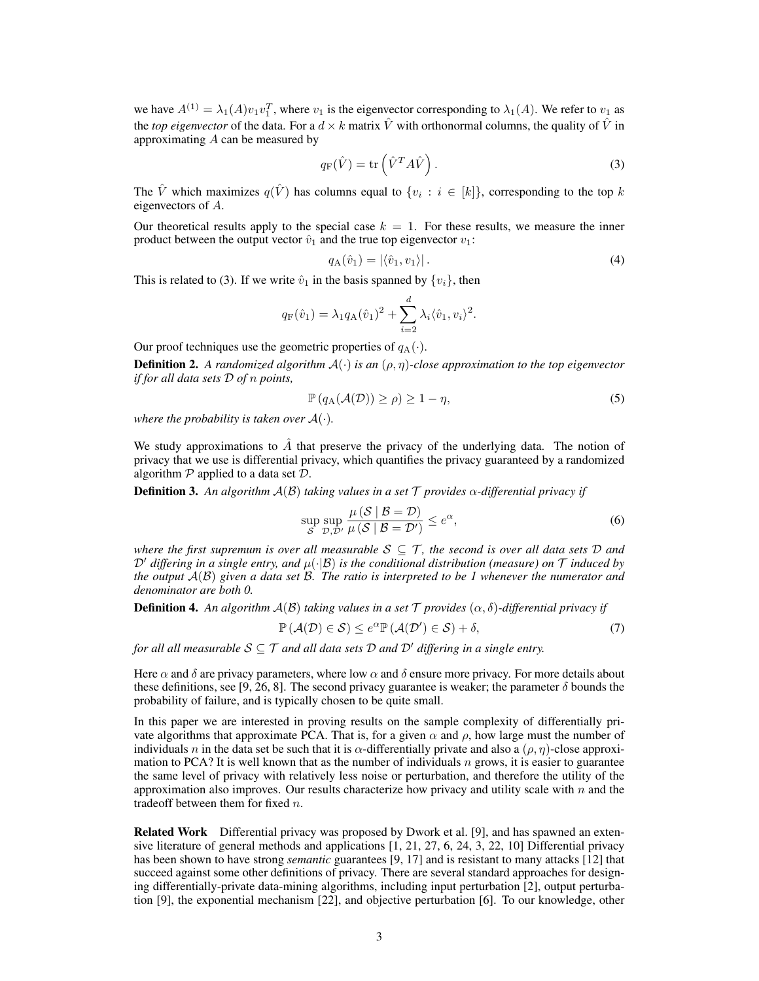we have  $A^{(1)} = \lambda_1(A)v_1v_1^T$ , where  $v_1$  is the eigenvector corresponding to  $\lambda_1(A)$ . We refer to  $v_1$  as the *top eigenvector* of the data. For a  $d \times k$  matrix  $\hat{V}$  with orthonormal columns, the quality of  $\hat{V}$  in approximating *A* can be measured by

$$
q_{\mathcal{F}}(\hat{V}) = \text{tr}\left(\hat{V}^T A \hat{V}\right). \tag{3}
$$

The  $\hat{V}$  which maximizes  $q(\hat{V})$  has columns equal to  $\{v_i : i \in [k]\}$ , corresponding to the top *k* eigenvectors of *A*.

Our theoretical results apply to the special case  $k = 1$ . For these results, we measure the inner product between the output vector  $\hat{v}_1$  and the true top eigenvector  $v_1$ :

$$
q_{\mathcal{A}}(\hat{v}_1) = |\langle \hat{v}_1, v_1 \rangle|.
$$
 (4)

This is related to (3). If we write  $\hat{v}_1$  in the basis spanned by  $\{v_i\}$ , then

$$
q_{\rm F}(\hat{v}_1) = \lambda_1 q_{\rm A}(\hat{v}_1)^2 + \sum_{i=2}^d \lambda_i \langle \hat{v}_1, v_i \rangle^2.
$$

Our proof techniques use the geometric properties of  $q_A(\cdot)$ .

**Definition 2.** A randomized algorithm  $A(\cdot)$  is an  $(\rho, \eta)$ -close approximation to the top eigenvector *if for all data sets D of n points,*

$$
\mathbb{P}\left(q_{\mathcal{A}}(\mathcal{A}(\mathcal{D}))\geq\rho\right)\geq1-\eta,\tag{5}
$$

*where the probability is taken over*  $A(\cdot)$ *.* 

We study approximations to  $\hat{A}$  that preserve the privacy of the underlying data. The notion of privacy that we use is differential privacy, which quantifies the privacy guaranteed by a randomized algorithm *P* applied to a data set *D*.

**Definition 3.** An algorithm  $A(\mathcal{B})$  taking values in a set  $\mathcal T$  provides  $\alpha$ -differential privacy if

$$
\sup_{S} \sup_{\mathcal{D}, \mathcal{D}'} \frac{\mu(S \mid B = \mathcal{D})}{\mu(S \mid B = \mathcal{D}')} \le e^{\alpha},\tag{6}
$$

*where the first supremum is over all measurable*  $S \subseteq T$ , the second is over all data sets D and  $D'$  *differing in a single entry, and*  $\mu(\cdot|\mathcal{B})$  *is the conditional distribution (measure) on*  $\mathcal T$  *induced by the output A*(*B*) *given a data set B. The ratio is interpreted to be 1 whenever the numerator and denominator are both 0.*

**Definition 4.** An algorithm  $A(\mathcal{B})$  taking values in a set  $\mathcal{T}$  provides  $(\alpha, \delta)$ -differential privacy if

$$
\mathbb{P}\left(\mathcal{A}(\mathcal{D})\in\mathcal{S}\right)\leq e^{\alpha}\mathbb{P}\left(\mathcal{A}(\mathcal{D}')\in\mathcal{S}\right)+\delta,\tag{7}
$$

*for all all measurable*  $S \subseteq T$  *and all data sets*  $D$  *and*  $D'$  *differing in a single entry.* 

Here  $\alpha$  and  $\delta$  are privacy parameters, where low  $\alpha$  and  $\delta$  ensure more privacy. For more details about these definitions, see [9, 26, 8]. The second privacy guarantee is weaker; the parameter  $\delta$  bounds the probability of failure, and is typically chosen to be quite small.

In this paper we are interested in proving results on the sample complexity of differentially private algorithms that approximate PCA. That is, for a given  $\alpha$  and  $\rho$ , how large must the number of individuals *n* in the data set be such that it is  $\alpha$ -differentially private and also a  $(\rho, \eta)$ -close approximation to PCA? It is well known that as the number of individuals  $n$  grows, it is easier to guarantee the same level of privacy with relatively less noise or perturbation, and therefore the utility of the approximation also improves. Our results characterize how privacy and utility scale with *n* and the tradeoff between them for fixed *n*.

Related Work Differential privacy was proposed by Dwork et al. [9], and has spawned an extensive literature of general methods and applications [1, 21, 27, 6, 24, 3, 22, 10] Differential privacy has been shown to have strong *semantic* guarantees [9, 17] and is resistant to many attacks [12] that succeed against some other definitions of privacy. There are several standard approaches for designing differentially-private data-mining algorithms, including input perturbation [2], output perturbation [9], the exponential mechanism [22], and objective perturbation [6]. To our knowledge, other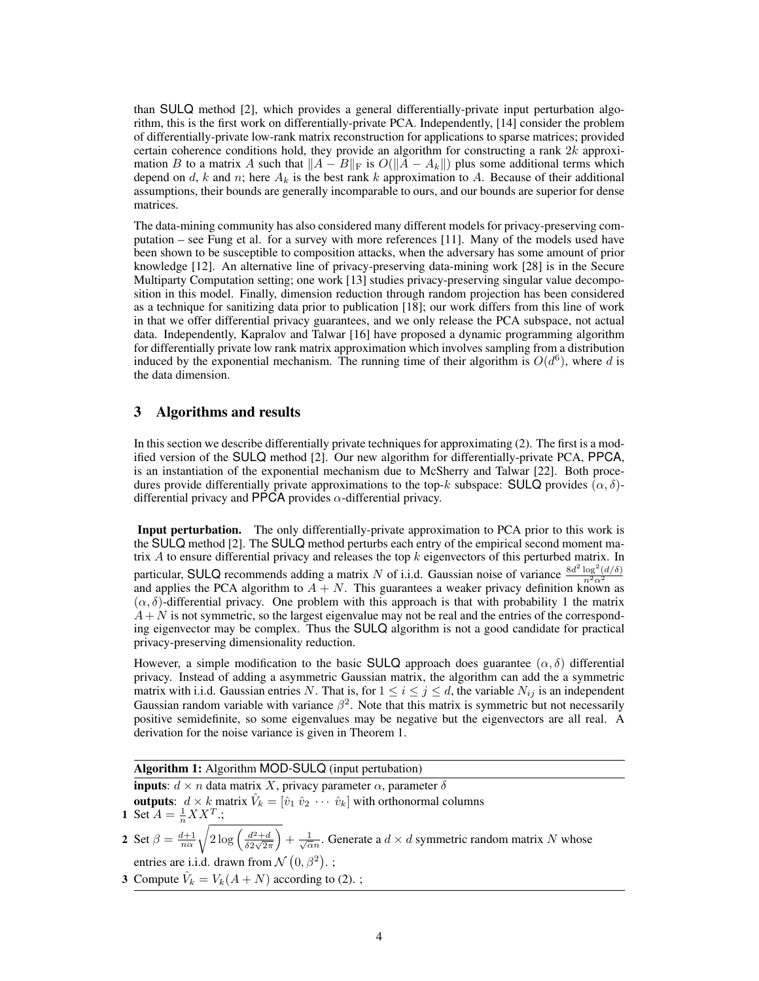than SULQ method [2], which provides a general differentially-private input perturbation algorithm, this is the first work on differentially-private PCA. Independently, [14] consider the problem of differentially-private low-rank matrix reconstruction for applications to sparse matrices; provided certain coherence conditions hold, they provide an algorithm for constructing a rank 2*k* approximation *B* to a matrix *A* such that  $||A - B||_F$  is  $O(||A - A_k||)$  plus some additional terms which depend on  $d$ ,  $k$  and  $n$ ; here  $A_k$  is the best rank  $k$  approximation to  $A$ . Because of their additional assumptions, their bounds are generally incomparable to ours, and our bounds are superior for dense matrices.

The data-mining community has also considered many different models for privacy-preserving computation – see Fung et al. for a survey with more references [11]. Many of the models used have been shown to be susceptible to composition attacks, when the adversary has some amount of prior knowledge [12]. An alternative line of privacy-preserving data-mining work [28] is in the Secure Multiparty Computation setting; one work [13] studies privacy-preserving singular value decomposition in this model. Finally, dimension reduction through random projection has been considered as a technique for sanitizing data prior to publication [18]; our work differs from this line of work in that we offer differential privacy guarantees, and we only release the PCA subspace, not actual data. Independently, Kapralov and Talwar [16] have proposed a dynamic programming algorithm for differentially private low rank matrix approximation which involves sampling from a distribution induced by the exponential mechanism. The running time of their algorithm is  $O(d^6)$ , where *d* is the data dimension.

## 3 Algorithms and results

In this section we describe differentially private techniques for approximating (2). The first is a modified version of the SULQ method [2]. Our new algorithm for differentially-private PCA, PPCA, is an instantiation of the exponential mechanism due to McSherry and Talwar [22]. Both procedures provide differentially private approximations to the top- $k$  subspace: SULQ provides  $(\alpha, \delta)$ differential privacy and PPCA provides  $\alpha$ -differential privacy.

Input perturbation. The only differentially-private approximation to PCA prior to this work is the SULQ method [2]. The SULQ method perturbs each entry of the empirical second moment matrix *A* to ensure differential privacy and releases the top *k* eigenvectors of this perturbed matrix. In particular, SULQ recommends adding a matrix *N* of i.i.d. Gaussian noise of variance  $\frac{8d^2 \log^2(d/\delta)}{n^2\alpha^2}$ and applies the PCA algorithm to  $\overline{A} + N$ . This guarantees a weaker privacy definition known as  $(\alpha, \delta)$ -differential privacy. One problem with this approach is that with probability 1 the matrix  $A + N$  is not symmetric, so the largest eigenvalue may not be real and the entries of the corresponding eigenvector may be complex. Thus the SULQ algorithm is not a good candidate for practical privacy-preserving dimensionality reduction.

However, a simple modification to the basic SULQ approach does guarantee  $(\alpha, \delta)$  differential privacy. Instead of adding a asymmetric Gaussian matrix, the algorithm can add the a symmetric matrix with i.i.d. Gaussian entries *N*. That is, for  $1 \le i \le j \le d$ , the variable  $N_{ij}$  is an independent Gaussian random variable with variance  $\beta^2$ . Note that this matrix is symmetric but not necessarily positive semidefinite, so some eigenvalues may be negative but the eigenvectors are all real. A derivation for the noise variance is given in Theorem 1.

#### Algorithm 1: Algorithm MOD-SULQ (input pertubation)

**inputs**:  $d \times n$  data matrix *X*, privacy parameter  $\alpha$ , parameter  $\delta$ 

outputs:  $d \times k$  matrix  $\hat{V}_k = [\hat{v}_1 \hat{v}_2 \cdots \hat{v}_k]$  with orthonormal columns 1 Set  $A = \frac{1}{n} X X^T$ .;

- 2 Set  $\beta = \frac{d+1}{n\alpha}$  $\sqrt{2\log\left(\frac{d^2+d}{\delta 2\sqrt{2\pi}}\right)}$  $+\frac{1}{\sqrt{\alpha}n}$ . Generate a  $d \times d$  symmetric random matrix *N* whose entries are i.i.d. drawn from  $\mathcal{N}(0, \beta^2)$ .;
- 3 Compute  $\hat{V}_k = V_k(A+N)$  according to (2). ;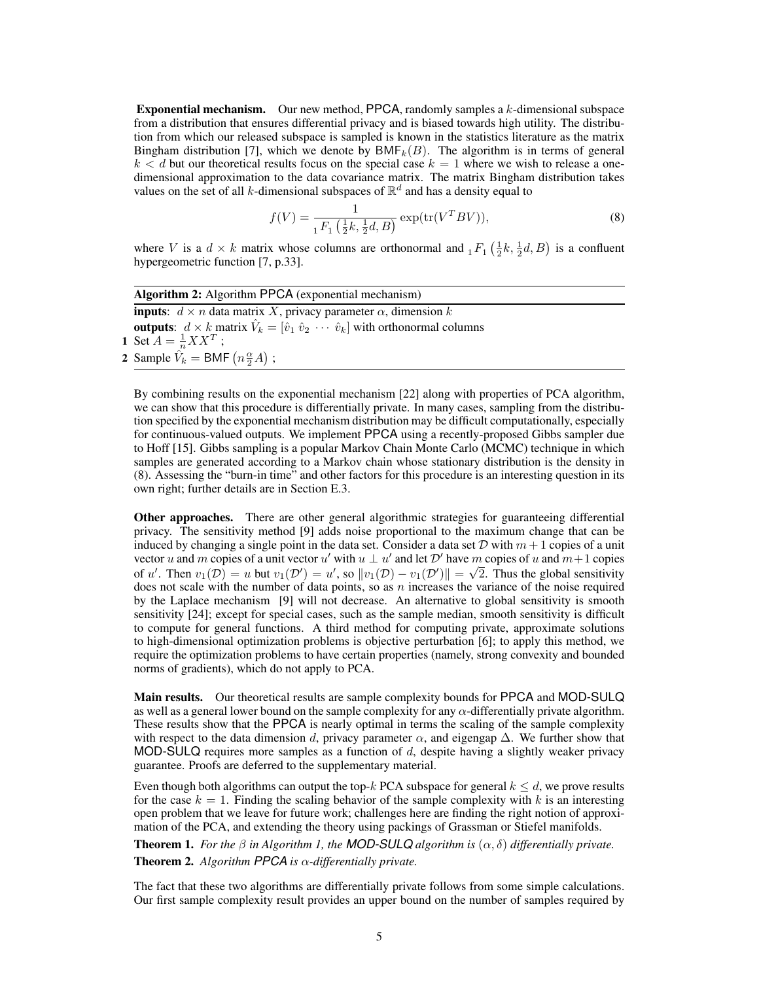Exponential mechanism. Our new method, PPCA, randomly samples a *k*-dimensional subspace from a distribution that ensures differential privacy and is biased towards high utility. The distribution from which our released subspace is sampled is known in the statistics literature as the matrix Bingham distribution [7], which we denote by  $BMF_k(B)$ . The algorithm is in terms of general  $k < d$  but our theoretical results focus on the special case  $k = 1$  where we wish to release a onedimensional approximation to the data covariance matrix. The matrix Bingham distribution takes values on the set of all *k*-dimensional subspaces of  $\mathbb{R}^d$  and has a density equal to

$$
f(V) = \frac{1}{{}_1F_1\left(\frac{1}{2}k, \frac{1}{2}d, B\right)} \exp(\text{tr}(V^T B V)),\tag{8}
$$

where *V* is a  $d \times k$  matrix whose columns are orthonormal and  ${}_1F_1\left(\frac{1}{2}k,\frac{1}{2}d,B\right)$  is a confluent hypergeometric function [7, p.33].

| <b>Algorithm 2:</b> Algorithm PPCA (exponential mechanism)                                                               |  |  |  |  |  |
|--------------------------------------------------------------------------------------------------------------------------|--|--|--|--|--|
| <b>inputs</b> : $d \times n$ data matrix X, privacy parameter $\alpha$ , dimension k                                     |  |  |  |  |  |
| <b>outputs</b> : $d \times k$ matrix $\hat{V}_k = [\hat{v}_1 \ \hat{v}_2 \ \cdots \ \hat{v}_k]$ with orthonormal columns |  |  |  |  |  |
| 1 Set $A = \frac{1}{n} X X^T$ ;                                                                                          |  |  |  |  |  |
| 2 Sample $\hat{V}_k = \text{BMF}(n \frac{\alpha}{2} A)$ ;                                                                |  |  |  |  |  |

By combining results on the exponential mechanism [22] along with properties of PCA algorithm, we can show that this procedure is differentially private. In many cases, sampling from the distribution specified by the exponential mechanism distribution may be difficult computationally, especially for continuous-valued outputs. We implement PPCA using a recently-proposed Gibbs sampler due to Hoff [15]. Gibbs sampling is a popular Markov Chain Monte Carlo (MCMC) technique in which samples are generated according to a Markov chain whose stationary distribution is the density in (8). Assessing the "burn-in time" and other factors for this procedure is an interesting question in its own right; further details are in Section E.3.

Other approaches. There are other general algorithmic strategies for guaranteeing differential privacy. The sensitivity method [9] adds noise proportional to the maximum change that can be induced by changing a single point in the data set. Consider a data set  $D$  with  $m + 1$  copies of a unit vector *u* and *m* copies of a unit vector *u'* with  $u \perp u'$  and let  $\mathcal{D}'$  have *m* copies of *u* and  $m+1$  copies of *u'*. Then  $v_1(D) = u$  but  $v_1(D') = u'$ , so  $||v_1(D) - v_1(D')|| = \sqrt{2}$ . Thus the global sensitivity does not scale with the number of data points, so as *n* increases the variance of the noise required by the Laplace mechanism [9] will not decrease. An alternative to global sensitivity is smooth sensitivity [24]; except for special cases, such as the sample median, smooth sensitivity is difficult to compute for general functions. A third method for computing private, approximate solutions to high-dimensional optimization problems is objective perturbation [6]; to apply this method, we require the optimization problems to have certain properties (namely, strong convexity and bounded norms of gradients), which do not apply to PCA.

Main results. Our theoretical results are sample complexity bounds for PPCA and MOD-SULQ as well as a general lower bound on the sample complexity for any  $\alpha$ -differentially private algorithm. These results show that the PPCA is nearly optimal in terms the scaling of the sample complexity with respect to the data dimension *d*, privacy parameter  $\alpha$ , and eigengap  $\Delta$ . We further show that MOD-SULQ requires more samples as a function of *d*, despite having a slightly weaker privacy guarantee. Proofs are deferred to the supplementary material.

Even though both algorithms can output the top- $k$  PCA subspace for general  $k \leq d$ , we prove results for the case  $k = 1$ . Finding the scaling behavior of the sample complexity with k is an interesting open problem that we leave for future work; challenges here are finding the right notion of approximation of the PCA, and extending the theory using packings of Grassman or Stiefel manifolds.

**Theorem 1.** For the  $\beta$  in Algorithm 1, the **MOD-SULQ** algorithm is  $(\alpha, \delta)$  differentially private. **Theorem 2.** Algorithm PPCA is  $\alpha$ -differentially private.

The fact that these two algorithms are differentially private follows from some simple calculations. Our first sample complexity result provides an upper bound on the number of samples required by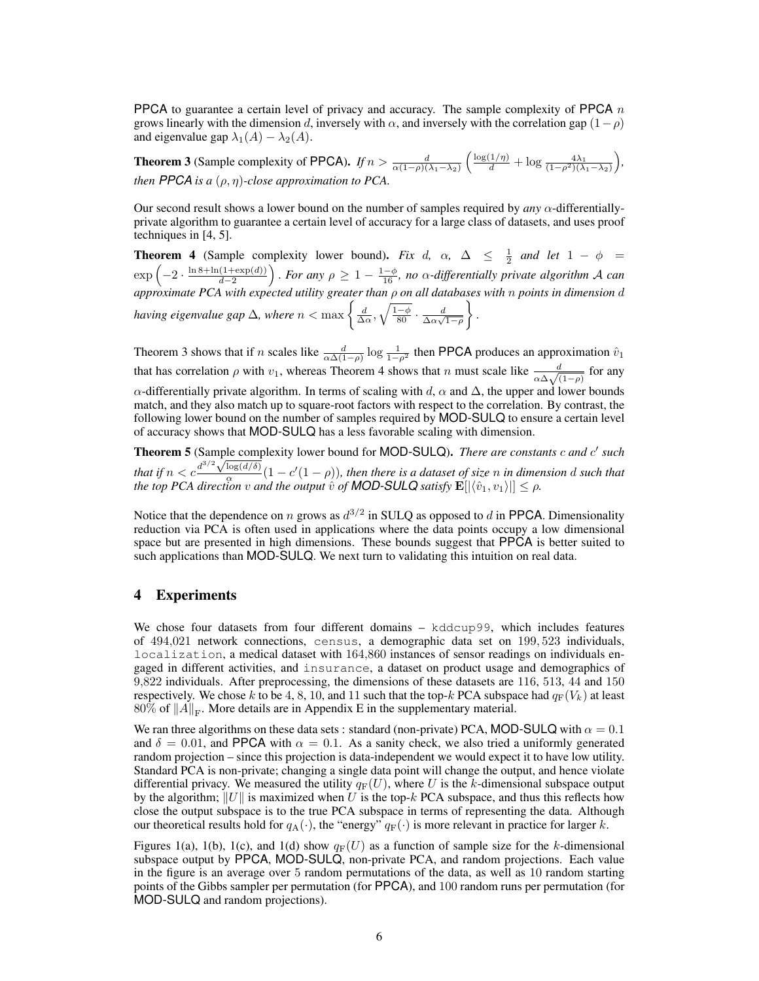PPCA to guarantee a certain level of privacy and accuracy. The sample complexity of PPCA *n* grows linearly with the dimension *d*, inversely with  $\alpha$ , and inversely with the correlation gap  $(1 - \rho)$ and eigenvalue gap  $\lambda_1(A) - \lambda_2(A)$ .

**Theorem 3** (Sample complexity of PPCA). *If*  $n > \frac{d}{\alpha(1-\rho)(\lambda_1-\lambda_2)}$  $\left(\frac{\log(1/\eta)}{d} + \log\frac{4\lambda_1}{(1-\rho^2)(\lambda_1-\lambda_2)}\right)$ ⌘ *, then PPCA is a*  $(\rho, \eta)$ *-close approximation to PCA.* 

Our second result shows a lower bound on the number of samples required by  $any \alpha$ -differentiallyprivate algorithm to guarantee a certain level of accuracy for a large class of datasets, and uses proof techniques in [4, 5].

**Theorem 4** (Sample complexity lower bound). *Fix d*,  $\alpha$ ,  $\Delta \leq \frac{1}{2}$  *and let*  $1 - \phi =$  $\exp\left(-2 \cdot \frac{\ln 8 + \ln(1 + \exp(d))}{d - 2}\right)$  $\int$ . For any  $\rho \geq 1 - \frac{1-\phi}{16}$ , no  $\alpha$ -differentially private algorithm A can  $a$ pproximate PCA with expected utility greater than  $\rho$  on all databases with  $n$  points in dimension  $d$ *having eigenvalue gap*  $\Delta$ , where  $n < \max \left\{ \frac{d}{\Delta \alpha}, \sqrt{\frac{1-\phi}{80}} \cdot \frac{d}{\Delta \alpha \sqrt{1-\rho}} \right\}$  $\mathcal{L}$ *.*

Theorem 3 shows that if *n* scales like  $\frac{d}{\alpha \Delta (1-\rho)} \log \frac{1}{1-\rho^2}$  then PPCA produces an approximation  $\hat{v}_1$ that has correlation  $\rho$  with  $v_1$ , whereas Theorem 4 shows that *n* must scale like  $\frac{d}{\alpha \Delta \sqrt{(1-\rho)}}$  for any  $\alpha$ -differentially private algorithm. In terms of scaling with *d*,  $\alpha$  and  $\Delta$ , the upper and lower bounds match, and they also match up to square-root factors with respect to the correlation. By contrast, the following lower bound on the number of samples required by MOD-SULQ to ensure a certain level of accuracy shows that MOD-SULQ has a less favorable scaling with dimension.

Theorem 5 (Sample complexity lower bound for MOD-SULQ). *There are constants c and c*<sup>0</sup> *such that if*  $n < c \frac{d^{3/2} \sqrt{\log(d/\delta)}}{2}$  $\frac{\log(u/\theta)}{\alpha} (1 - c'(1 - \rho))$ , then there is a dataset of size *n* in dimension *d* such that *the top PCA direction*  $v$  *and the output*  $\hat{v}$  *<i>of MOD-SULQ satisfy*  $\mathbf{E}[|\langle \hat{v}_1, v_1 \rangle|] \leq \rho$ .

Notice that the dependence on *n* grows as  $d^{3/2}$  in SULQ as opposed to *d* in PPCA. Dimensionality reduction via PCA is often used in applications where the data points occupy a low dimensional space but are presented in high dimensions. These bounds suggest that PPCA is better suited to such applications than MOD-SULQ. We next turn to validating this intuition on real data.

## 4 Experiments

We chose four datasets from four different domains – kddcup99, which includes features of 494*,*021 network connections, census, a demographic data set on 199*,* 523 individuals, localization, a medical dataset with 164*,*860 instances of sensor readings on individuals engaged in different activities, and insurance, a dataset on product usage and demographics of 9*,*822 individuals. After preprocessing, the dimensions of these datasets are 116, 513, 44 and 150 respectively. We chose *k* to be 4, 8, 10, and 11 such that the top-*k* PCA subspace had  $q_F(V_k)$  at least 80% of  $||A||_F$ . More details are in Appendix E in the supplementary material.

We ran three algorithms on these data sets : standard (non-private) PCA, MOD-SULQ with  $\alpha = 0.1$ and  $\delta = 0.01$ , and PPCA with  $\alpha = 0.1$ . As a sanity check, we also tried a uniformly generated random projection – since this projection is data-independent we would expect it to have low utility. Standard PCA is non-private; changing a single data point will change the output, and hence violate differential privacy. We measured the utility  $q_F(U)$ , where U is the *k*-dimensional subspace output by the algorithm;  $||U||$  is maximized when *U* is the top-*k* PCA subspace, and thus this reflects how close the output subspace is to the true PCA subspace in terms of representing the data. Although our theoretical results hold for  $q_A(\cdot)$ , the "energy"  $q_F(\cdot)$  is more relevant in practice for larger *k*.

Figures 1(a), 1(b), 1(c), and 1(d) show  $q_F(U)$  as a function of sample size for the *k*-dimensional subspace output by PPCA, MOD-SULQ, non-private PCA, and random projections. Each value in the figure is an average over 5 random permutations of the data, as well as 10 random starting points of the Gibbs sampler per permutation (for PPCA), and 100 random runs per permutation (for MOD-SULQ and random projections).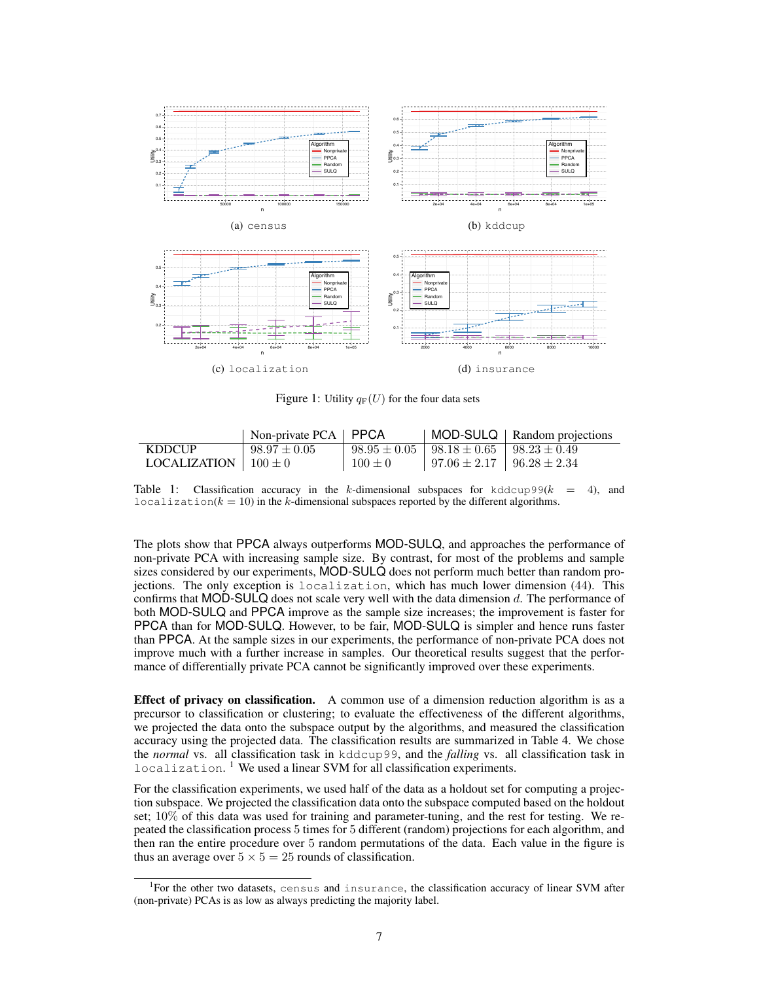

Figure 1: Utility  $q_F(U)$  for the four data sets

|                            | Non-private $PCA$   $PPCA$ |             |                                                        | MOD-SULQ   Random projections |
|----------------------------|----------------------------|-------------|--------------------------------------------------------|-------------------------------|
| <b>KDDCUP</b>              | $98.97 \pm 0.05$           |             | $98.95 \pm 0.05$   $98.18 \pm 0.65$   $98.23 \pm 0.49$ |                               |
| LOCALIZATION   $100 \pm 0$ |                            | $100 \pm 0$ | $97.06 \pm 2.17$   $96.28 \pm 2.34$                    |                               |

Table 1: Classification accuracy in the *k*-dimensional subspaces for kddcup99(*k* = 4), and localization( $k = 10$ ) in the *k*-dimensional subspaces reported by the different algorithms.

The plots show that PPCA always outperforms MOD-SULQ, and approaches the performance of non-private PCA with increasing sample size. By contrast, for most of the problems and sample sizes considered by our experiments, MOD-SULQ does not perform much better than random projections. The only exception is localization, which has much lower dimension (44). This confirms that MOD-SULQ does not scale very well with the data dimension *d*. The performance of both MOD-SULQ and PPCA improve as the sample size increases; the improvement is faster for PPCA than for MOD-SULQ. However, to be fair, MOD-SULQ is simpler and hence runs faster than PPCA. At the sample sizes in our experiments, the performance of non-private PCA does not improve much with a further increase in samples. Our theoretical results suggest that the performance of differentially private PCA cannot be significantly improved over these experiments.

Effect of privacy on classification. A common use of a dimension reduction algorithm is as a precursor to classification or clustering; to evaluate the effectiveness of the different algorithms, we projected the data onto the subspace output by the algorithms, and measured the classification accuracy using the projected data. The classification results are summarized in Table 4. We chose the *normal* vs. all classification task in kddcup99, and the *falling* vs. all classification task in  $localization.$ <sup>1</sup> We used a linear SVM for all classification experiments.

For the classification experiments, we used half of the data as a holdout set for computing a projection subspace. We projected the classification data onto the subspace computed based on the holdout set; 10% of this data was used for training and parameter-tuning, and the rest for testing. We repeated the classification process 5 times for 5 different (random) projections for each algorithm, and then ran the entire procedure over 5 random permutations of the data. Each value in the figure is thus an average over  $5 \times 5 = 25$  rounds of classification.

<sup>&</sup>lt;sup>1</sup>For the other two datasets, census and insurance, the classification accuracy of linear SVM after (non-private) PCAs is as low as always predicting the majority label.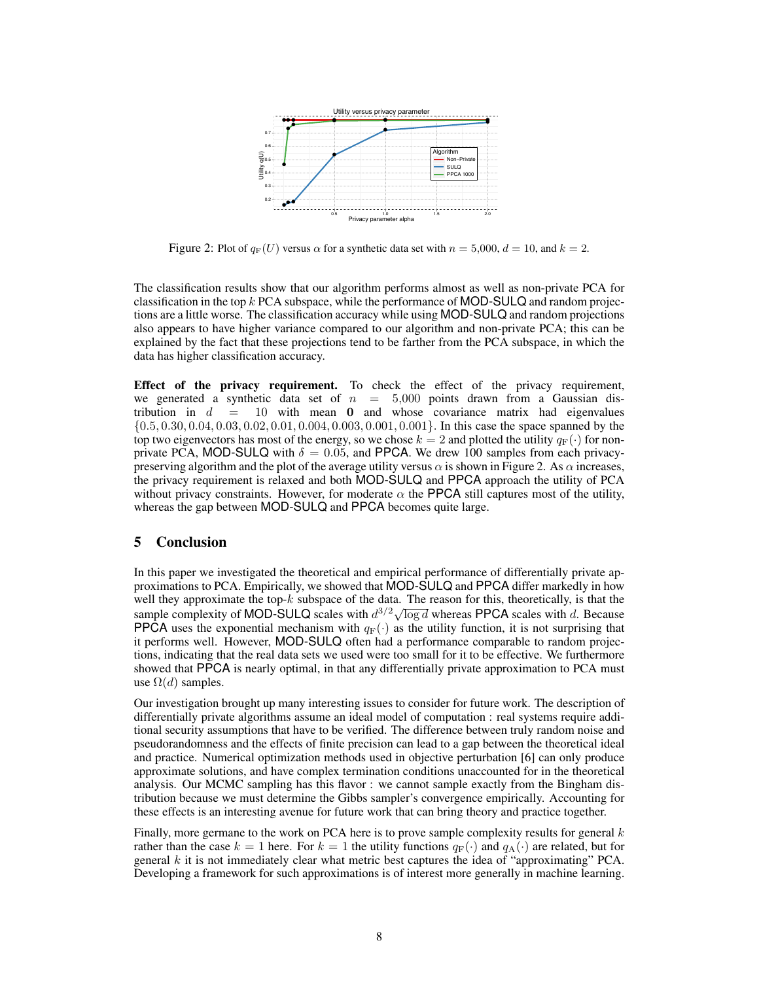

Figure 2: Plot of  $q_F(U)$  versus  $\alpha$  for a synthetic data set with  $n = 5,000$ ,  $d = 10$ , and  $k = 2$ .

The classification results show that our algorithm performs almost as well as non-private PCA for classification in the top *k* PCA subspace, while the performance of MOD-SULQ and random projections are a little worse. The classification accuracy while using MOD-SULQ and random projections also appears to have higher variance compared to our algorithm and non-private PCA; this can be explained by the fact that these projections tend to be farther from the PCA subspace, in which the data has higher classification accuracy.

Effect of the privacy requirement. To check the effect of the privacy requirement, we generated a synthetic data set of  $n = 5,000$  points drawn from a Gaussian distribution in  $d = 10$  with mean 0 and whose covariance matrix had eigenvalues  $\{0.5, 0.30, 0.04, 0.03, 0.02, 0.01, 0.004, 0.003, 0.001, 0.001\}$ . In this case the space spanned by the top two eigenvectors has most of the energy, so we chose  $k = 2$  and plotted the utility  $q_F(\cdot)$  for nonprivate PCA, MOD-SULQ with  $\delta = 0.05$ , and PPCA. We drew 100 samples from each privacypreserving algorithm and the plot of the average utility versus  $\alpha$  is shown in Figure 2. As  $\alpha$  increases, the privacy requirement is relaxed and both MOD-SULQ and PPCA approach the utility of PCA without privacy constraints. However, for moderate  $\alpha$  the PPCA still captures most of the utility, whereas the gap between MOD-SULQ and PPCA becomes quite large.

## 5 Conclusion

In this paper we investigated the theoretical and empirical performance of differentially private approximations to PCA. Empirically, we showed that MOD-SULQ and PPCA differ markedly in how well they approximate the top-*k* subspace of the data. The reason for this, theoretically, is that the sample complexity of MOD-SULQ scales with  $d^{3/2}\sqrt{\log d}$  whereas PPCA scales with *d*. Because **PPCA** uses the exponential mechanism with  $q_F(\cdot)$  as the utility function, it is not surprising that it performs well. However, MOD-SULQ often had a performance comparable to random projections, indicating that the real data sets we used were too small for it to be effective. We furthermore showed that PPCA is nearly optimal, in that any differentially private approximation to PCA must use  $\Omega(d)$  samples.

Our investigation brought up many interesting issues to consider for future work. The description of differentially private algorithms assume an ideal model of computation : real systems require additional security assumptions that have to be verified. The difference between truly random noise and pseudorandomness and the effects of finite precision can lead to a gap between the theoretical ideal and practice. Numerical optimization methods used in objective perturbation [6] can only produce approximate solutions, and have complex termination conditions unaccounted for in the theoretical analysis. Our MCMC sampling has this flavor : we cannot sample exactly from the Bingham distribution because we must determine the Gibbs sampler's convergence empirically. Accounting for these effects is an interesting avenue for future work that can bring theory and practice together.

Finally, more germane to the work on PCA here is to prove sample complexity results for general *k* rather than the case  $k = 1$  here. For  $k = 1$  the utility functions  $q_F(\cdot)$  and  $q_A(\cdot)$  are related, but for general *k* it is not immediately clear what metric best captures the idea of "approximating" PCA. Developing a framework for such approximations is of interest more generally in machine learning.